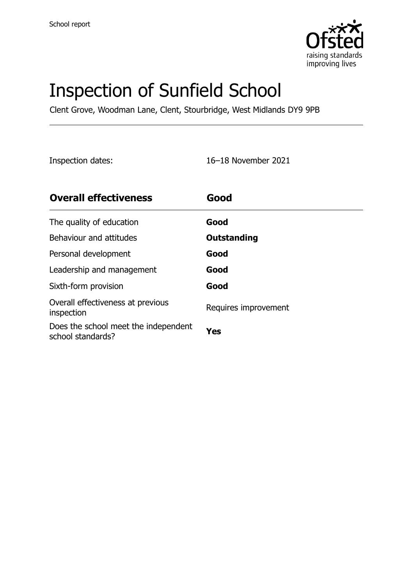

# Inspection of Sunfield School

Clent Grove, Woodman Lane, Clent, Stourbridge, West Midlands DY9 9PB

Inspection dates: 16–18 November 2021

| <b>Overall effectiveness</b>                              | Good                 |
|-----------------------------------------------------------|----------------------|
| The quality of education                                  | Good                 |
| Behaviour and attitudes                                   | Outstanding          |
| Personal development                                      | Good                 |
| Leadership and management                                 | Good                 |
| Sixth-form provision                                      | Good                 |
| Overall effectiveness at previous<br>inspection           | Requires improvement |
| Does the school meet the independent<br>school standards? | Yes                  |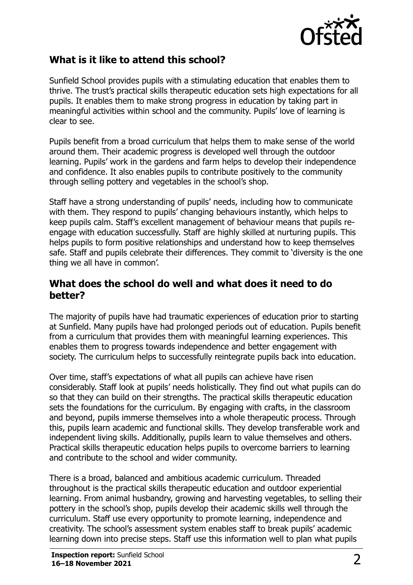

### **What is it like to attend this school?**

Sunfield School provides pupils with a stimulating education that enables them to thrive. The trust's practical skills therapeutic education sets high expectations for all pupils. It enables them to make strong progress in education by taking part in meaningful activities within school and the community. Pupils' love of learning is clear to see.

Pupils benefit from a broad curriculum that helps them to make sense of the world around them. Their academic progress is developed well through the outdoor learning. Pupils' work in the gardens and farm helps to develop their independence and confidence. It also enables pupils to contribute positively to the community through selling pottery and vegetables in the school's shop.

Staff have a strong understanding of pupils' needs, including how to communicate with them. They respond to pupils' changing behaviours instantly, which helps to keep pupils calm. Staff's excellent management of behaviour means that pupils reengage with education successfully. Staff are highly skilled at nurturing pupils. This helps pupils to form positive relationships and understand how to keep themselves safe. Staff and pupils celebrate their differences. They commit to 'diversity is the one thing we all have in common'.

#### **What does the school do well and what does it need to do better?**

The majority of pupils have had traumatic experiences of education prior to starting at Sunfield. Many pupils have had prolonged periods out of education. Pupils benefit from a curriculum that provides them with meaningful learning experiences. This enables them to progress towards independence and better engagement with society. The curriculum helps to successfully reintegrate pupils back into education.

Over time, staff's expectations of what all pupils can achieve have risen considerably. Staff look at pupils' needs holistically. They find out what pupils can do so that they can build on their strengths. The practical skills therapeutic education sets the foundations for the curriculum. By engaging with crafts, in the classroom and beyond, pupils immerse themselves into a whole therapeutic process. Through this, pupils learn academic and functional skills. They develop transferable work and independent living skills. Additionally, pupils learn to value themselves and others. Practical skills therapeutic education helps pupils to overcome barriers to learning and contribute to the school and wider community.

There is a broad, balanced and ambitious academic curriculum. Threaded throughout is the practical skills therapeutic education and outdoor experiential learning. From animal husbandry, growing and harvesting vegetables, to selling their pottery in the school's shop, pupils develop their academic skills well through the curriculum. Staff use every opportunity to promote learning, independence and creativity. The school's assessment system enables staff to break pupils' academic learning down into precise steps. Staff use this information well to plan what pupils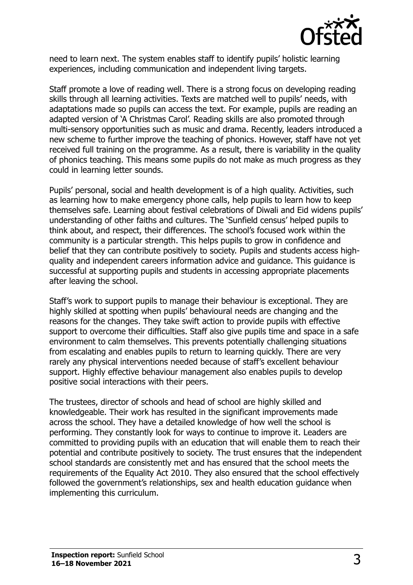

need to learn next. The system enables staff to identify pupils' holistic learning experiences, including communication and independent living targets.

Staff promote a love of reading well. There is a strong focus on developing reading skills through all learning activities. Texts are matched well to pupils' needs, with adaptations made so pupils can access the text. For example, pupils are reading an adapted version of 'A Christmas Carol'. Reading skills are also promoted through multi-sensory opportunities such as music and drama. Recently, leaders introduced a new scheme to further improve the teaching of phonics. However, staff have not yet received full training on the programme. As a result, there is variability in the quality of phonics teaching. This means some pupils do not make as much progress as they could in learning letter sounds.

Pupils' personal, social and health development is of a high quality. Activities, such as learning how to make emergency phone calls, help pupils to learn how to keep themselves safe. Learning about festival celebrations of Diwali and Eid widens pupils' understanding of other faiths and cultures. The 'Sunfield census' helped pupils to think about, and respect, their differences. The school's focused work within the community is a particular strength. This helps pupils to grow in confidence and belief that they can contribute positively to society. Pupils and students access highquality and independent careers information advice and guidance. This guidance is successful at supporting pupils and students in accessing appropriate placements after leaving the school.

Staff's work to support pupils to manage their behaviour is exceptional. They are highly skilled at spotting when pupils' behavioural needs are changing and the reasons for the changes. They take swift action to provide pupils with effective support to overcome their difficulties. Staff also give pupils time and space in a safe environment to calm themselves. This prevents potentially challenging situations from escalating and enables pupils to return to learning quickly. There are very rarely any physical interventions needed because of staff's excellent behaviour support. Highly effective behaviour management also enables pupils to develop positive social interactions with their peers.

The trustees, director of schools and head of school are highly skilled and knowledgeable. Their work has resulted in the significant improvements made across the school. They have a detailed knowledge of how well the school is performing. They constantly look for ways to continue to improve it. Leaders are committed to providing pupils with an education that will enable them to reach their potential and contribute positively to society. The trust ensures that the independent school standards are consistently met and has ensured that the school meets the requirements of the Equality Act 2010. They also ensured that the school effectively followed the government's relationships, sex and health education guidance when implementing this curriculum.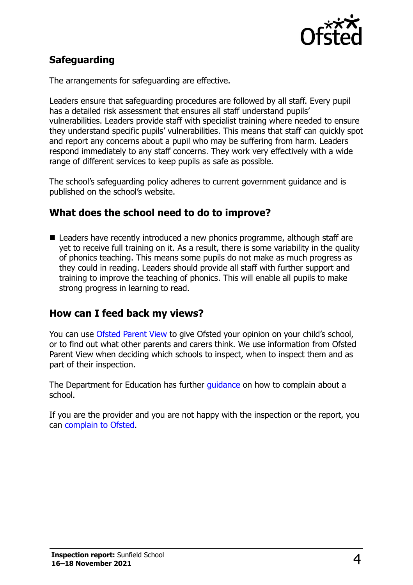

## **Safeguarding**

The arrangements for safeguarding are effective.

Leaders ensure that safeguarding procedures are followed by all staff. Every pupil has a detailed risk assessment that ensures all staff understand pupils' vulnerabilities. Leaders provide staff with specialist training where needed to ensure they understand specific pupils' vulnerabilities. This means that staff can quickly spot and report any concerns about a pupil who may be suffering from harm. Leaders respond immediately to any staff concerns. They work very effectively with a wide range of different services to keep pupils as safe as possible.

The school's safeguarding policy adheres to current government guidance and is published on the school's website.

#### **What does the school need to do to improve?**

■ Leaders have recently introduced a new phonics programme, although staff are yet to receive full training on it. As a result, there is some variability in the quality of phonics teaching. This means some pupils do not make as much progress as they could in reading. Leaders should provide all staff with further support and training to improve the teaching of phonics. This will enable all pupils to make strong progress in learning to read.

### **How can I feed back my views?**

You can use [Ofsted Parent View](http://parentview.ofsted.gov.uk/) to give Ofsted your opinion on your child's school, or to find out what other parents and carers think. We use information from Ofsted Parent View when deciding which schools to inspect, when to inspect them and as part of their inspection.

The Department for Education has further [guidance](http://www.gov.uk/complain-about-school) on how to complain about a school.

If you are the provider and you are not happy with the inspection or the report, you can [complain to Ofsted.](http://www.gov.uk/complain-ofsted-report)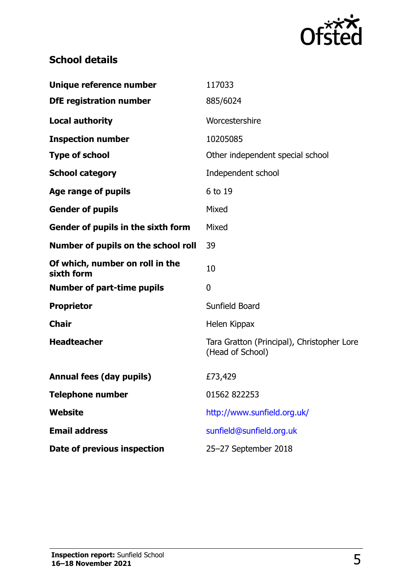

# **School details**

| Unique reference number                       | 117033                                                         |
|-----------------------------------------------|----------------------------------------------------------------|
| <b>DfE</b> registration number                | 885/6024                                                       |
| <b>Local authority</b>                        | Worcestershire                                                 |
| <b>Inspection number</b>                      | 10205085                                                       |
| <b>Type of school</b>                         | Other independent special school                               |
| <b>School category</b>                        | Independent school                                             |
| Age range of pupils                           | 6 to 19                                                        |
| <b>Gender of pupils</b>                       | Mixed                                                          |
| Gender of pupils in the sixth form            | Mixed                                                          |
| Number of pupils on the school roll           | 39                                                             |
| Of which, number on roll in the<br>sixth form | 10                                                             |
| <b>Number of part-time pupils</b>             | 0                                                              |
| <b>Proprietor</b>                             | Sunfield Board                                                 |
| <b>Chair</b>                                  | Helen Kippax                                                   |
| <b>Headteacher</b>                            | Tara Gratton (Principal), Christopher Lore<br>(Head of School) |
| <b>Annual fees (day pupils)</b>               | £73,429                                                        |
| <b>Telephone number</b>                       | 01562 822253                                                   |
| <b>Website</b>                                | http://www.sunfield.org.uk/                                    |
| <b>Email address</b>                          | sunfield@sunfield.org.uk                                       |
| Date of previous inspection                   | 25-27 September 2018                                           |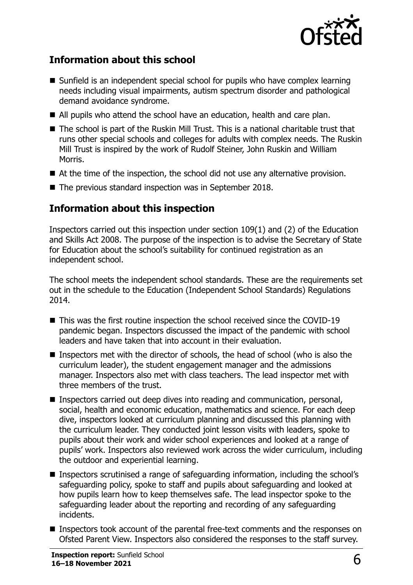

#### **Information about this school**

- Sunfield is an independent special school for pupils who have complex learning needs including visual impairments, autism spectrum disorder and pathological demand avoidance syndrome.
- All pupils who attend the school have an education, health and care plan.
- The school is part of the Ruskin Mill Trust. This is a national charitable trust that runs other special schools and colleges for adults with complex needs. The Ruskin Mill Trust is inspired by the work of Rudolf Steiner, John Ruskin and William Morris.
- At the time of the inspection, the school did not use any alternative provision.
- The previous standard inspection was in September 2018.

#### **Information about this inspection**

Inspectors carried out this inspection under section 109(1) and (2) of the Education and Skills Act 2008. The purpose of the inspection is to advise the Secretary of State for Education about the school's suitability for continued registration as an independent school.

The school meets the independent school standards. These are the requirements set out in the schedule to the Education (Independent School Standards) Regulations 2014.

- This was the first routine inspection the school received since the COVID-19 pandemic began. Inspectors discussed the impact of the pandemic with school leaders and have taken that into account in their evaluation.
- **Inspectors met with the director of schools, the head of school (who is also the** curriculum leader), the student engagement manager and the admissions manager. Inspectors also met with class teachers. The lead inspector met with three members of the trust.
- **Inspectors carried out deep dives into reading and communication, personal,** social, health and economic education, mathematics and science. For each deep dive, inspectors looked at curriculum planning and discussed this planning with the curriculum leader. They conducted joint lesson visits with leaders, spoke to pupils about their work and wider school experiences and looked at a range of pupils' work. Inspectors also reviewed work across the wider curriculum, including the outdoor and experiential learning.
- Inspectors scrutinised a range of safeguarding information, including the school's safeguarding policy, spoke to staff and pupils about safeguarding and looked at how pupils learn how to keep themselves safe. The lead inspector spoke to the safeguarding leader about the reporting and recording of any safeguarding incidents.
- Inspectors took account of the parental free-text comments and the responses on Ofsted Parent View. Inspectors also considered the responses to the staff survey.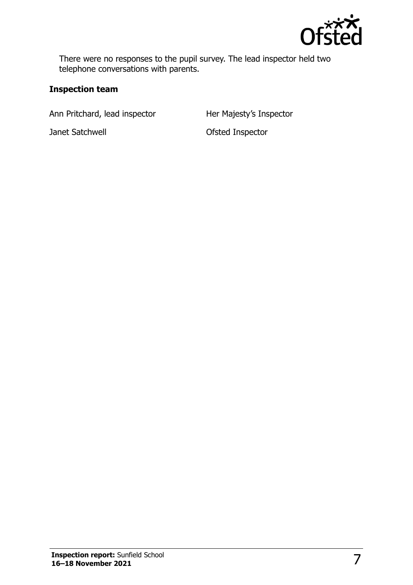

There were no responses to the pupil survey. The lead inspector held two telephone conversations with parents.

#### **Inspection team**

Ann Pritchard, lead inspector Her Majesty's Inspector

Janet Satchwell **Contract Satchwell Contract Sates** Ofsted Inspector